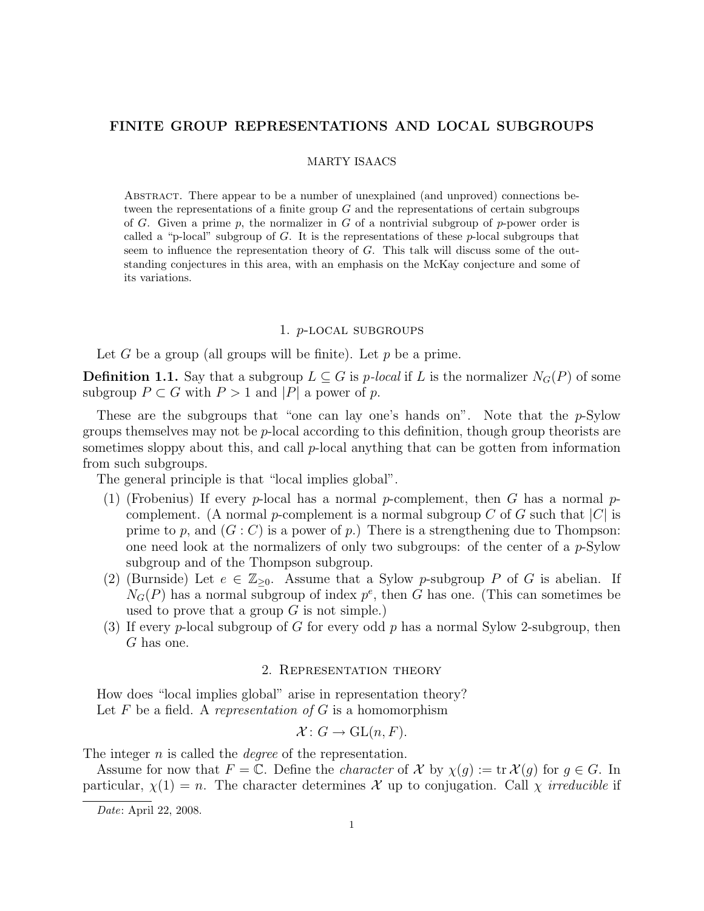# FINITE GROUP REPRESENTATIONS AND LOCAL SUBGROUPS

#### MARTY ISAACS

Abstract. There appear to be a number of unexplained (and unproved) connections between the representations of a finite group  $G$  and the representations of certain subgroups of G. Given a prime p, the normalizer in G of a nontrivial subgroup of p-power order is called a "p-local" subgroup of G. It is the representations of these  $p$ -local subgroups that seem to influence the representation theory of  $G$ . This talk will discuss some of the outstanding conjectures in this area, with an emphasis on the McKay conjecture and some of its variations.

#### 1. p-local subgroups

Let G be a group (all groups will be finite). Let  $p$  be a prime.

**Definition 1.1.** Say that a subgroup  $L \subseteq G$  is p-local if L is the normalizer  $N_G(P)$  of some subgroup  $P \subset G$  with  $P > 1$  and  $|P|$  a power of p.

These are the subgroups that "one can lay one's hands on". Note that the  $p$ -Sylow groups themselves may not be  $p$ -local according to this definition, though group theorists are sometimes sloppy about this, and call  $p$ -local anything that can be gotten from information from such subgroups.

The general principle is that "local implies global".

- (1) (Frobenius) If every p-local has a normal p-complement, then G has a normal pcomplement. (A normal p-complement is a normal subgroup C of G such that  $|C|$  is prime to p, and  $(G: C)$  is a power of p.) There is a strengthening due to Thompson: one need look at the normalizers of only two subgroups: of the center of a  $p$ -Sylow subgroup and of the Thompson subgroup.
- (2) (Burnside) Let  $e \in \mathbb{Z}_{\geq 0}$ . Assume that a Sylow p-subgroup P of G is abelian. If  $N_G(P)$  has a normal subgroup of index  $p^e$ , then G has one. (This can sometimes be used to prove that a group  $G$  is not simple.)
- (3) If every p-local subgroup of G for every odd p has a normal Sylow 2-subgroup, then G has one.

### 2. Representation theory

How does "local implies global" arise in representation theory? Let F be a field. A representation of  $G$  is a homomorphism

$$
\mathcal{X} \colon G \to \mathrm{GL}(n, F).
$$

The integer *n* is called the *degree* of the representation.

Assume for now that  $F = \mathbb{C}$ . Define the *character* of X by  $\chi(q) := \text{tr } \mathcal{X}(q)$  for  $q \in G$ . In particular,  $\chi(1) = n$ . The character determines X up to conjugation. Call  $\chi$  irreducible if

Date: April 22, 2008.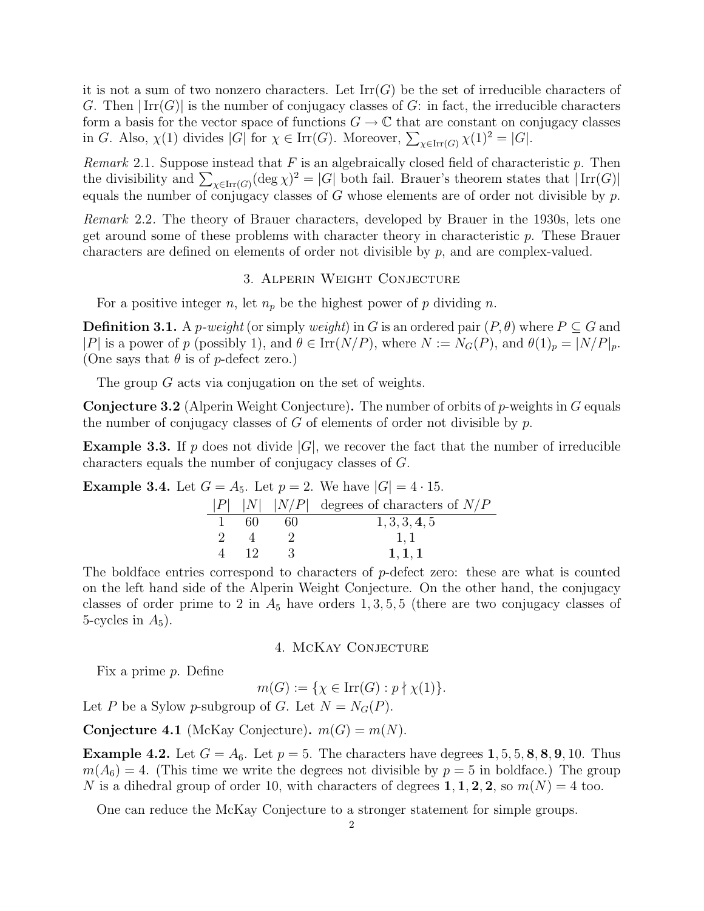it is not a sum of two nonzero characters. Let  $\mathrm{Irr}(G)$  be the set of irreducible characters of G. Then  $|\text{Irr}(G)|$  is the number of conjugacy classes of G: in fact, the irreducible characters form a basis for the vector space of functions  $G \to \mathbb{C}$  that are constant on conjugacy classes in G. Also,  $\chi(1)$  divides |G| for  $\chi \in \text{Irr}(G)$ . Moreover,  $\sum_{\chi \in \text{Irr}(G)} \chi(1)^2 = |G|$ .

Remark 2.1. Suppose instead that  $F$  is an algebraically closed field of characteristic  $p$ . Then the divisibility and  $\sum_{\chi \in \text{Irr}(G)} (\text{deg }\chi)^2 = |G|$  both fail. Brauer's theorem states that  $|\text{Irr}(G)|$ equals the number of conjugacy classes of  $G$  whose elements are of order not divisible by  $p$ .

Remark 2.2. The theory of Brauer characters, developed by Brauer in the 1930s, lets one get around some of these problems with character theory in characteristic p. These Brauer characters are defined on elements of order not divisible by p, and are complex-valued.

### 3. Alperin Weight Conjecture

For a positive integer n, let  $n_p$  be the highest power of p dividing n.

**Definition 3.1.** A *p-weight* (or simply *weight*) in G is an ordered pair  $(P, \theta)$  where  $P \subseteq G$  and |P| is a power of p (possibly 1), and  $\theta \in \text{Irr}(N/P)$ , where  $N := N_G(P)$ , and  $\theta(1)_p = |N/P|_p$ . (One says that  $\theta$  is of p-defect zero.)

The group G acts via conjugation on the set of weights.

**Conjecture 3.2** (Alperin Weight Conjecture). The number of orbits of  $p$ -weights in  $G$  equals the number of conjugacy classes of  $G$  of elements of order not divisible by  $p$ .

**Example 3.3.** If p does not divide  $|G|$ , we recover the fact that the number of irreducible characters equals the number of conjugacy classes of G.

**Example 3.4.** Let  $G = A_5$ . Let  $p = 2$ . We have  $|G| = 4 \cdot 15$ .

|  |      |    | $ P $  N   N P  degrees of characters of N P |
|--|------|----|----------------------------------------------|
|  | -60- | 60 | 1, 3, 3, 4, 5                                |
|  |      |    | 1.1                                          |
|  | -12- |    | 1, 1, 1                                      |

The boldface entries correspond to characters of p-defect zero: these are what is counted on the left hand side of the Alperin Weight Conjecture. On the other hand, the conjugacy classes of order prime to 2 in  $A_5$  have orders 1, 3, 5, 5 (there are two conjugacy classes of 5-cycles in  $A_5$ ).

## 4. McKay Conjecture

Fix a prime p. Define

$$
m(G) := \{ \chi \in \operatorname{Irr}(G) : p \nmid \chi(1) \}.
$$

Let P be a Sylow p-subgroup of G. Let  $N = N_G(P)$ .

**Conjecture 4.1** (McKay Conjecture).  $m(G) = m(N)$ .

**Example 4.2.** Let  $G = A_6$ . Let  $p = 5$ . The characters have degrees 1, 5, 5, 8, 8, 9, 10. Thus  $m(A_6) = 4$ . (This time we write the degrees not divisible by  $p = 5$  in boldface.) The group N is a dihedral group of order 10, with characters of degrees 1, 1, 2, 2, so  $m(N) = 4$  too.

One can reduce the McKay Conjecture to a stronger statement for simple groups.